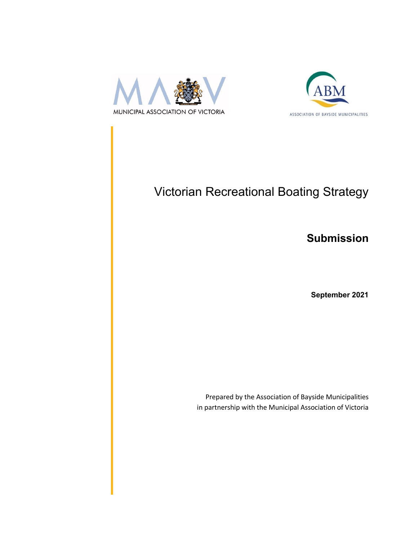



# Victorian Recreational Boating Strategy

### **Submission**

**September 2021**

Prepared by the Association of Bayside Municipalities in partnership with the Municipal Association of Victoria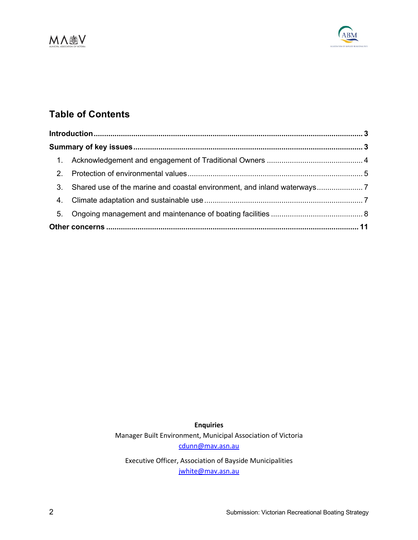



### **Table of Contents**

| 3. | Shared use of the marine and coastal environment, and inland waterways |  |
|----|------------------------------------------------------------------------|--|
|    |                                                                        |  |
|    |                                                                        |  |
|    |                                                                        |  |

**Enquiries** Manager Built Environment, Municipal Association of Victoria cdunn@mav.asn.au

Executive Officer, Association of Bayside Municipalities jwhite@mav.asn.au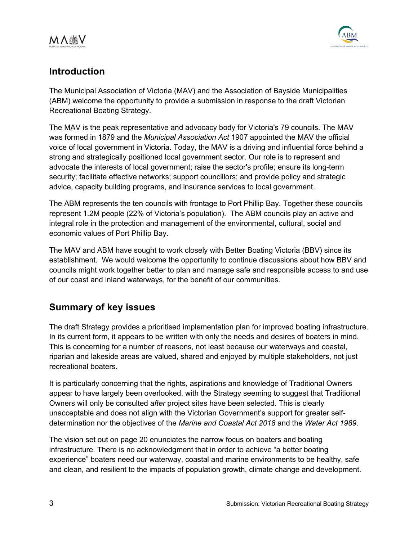

### **Introduction**

The Municipal Association of Victoria (MAV) and the Association of Bayside Municipalities (ABM) welcome the opportunity to provide a submission in response to the draft Victorian Recreational Boating Strategy.

The MAV is the peak representative and advocacy body for Victoria's 79 councils. The MAV was formed in 1879 and the *Municipal Association Act* 1907 appointed the MAV the official voice of local government in Victoria. Today, the MAV is a driving and influential force behind a strong and strategically positioned local government sector. Our role is to represent and advocate the interests of local government; raise the sector's profile; ensure its long-term security; facilitate effective networks; support councillors; and provide policy and strategic advice, capacity building programs, and insurance services to local government.

The ABM represents the ten councils with frontage to Port Phillip Bay. Together these councils represent 1.2M people (22% of Victoria's population). The ABM councils play an active and integral role in the protection and management of the environmental, cultural, social and economic values of Port Phillip Bay.

The MAV and ABM have sought to work closely with Better Boating Victoria (BBV) since its establishment. We would welcome the opportunity to continue discussions about how BBV and councils might work together better to plan and manage safe and responsible access to and use of our coast and inland waterways, for the benefit of our communities.

### **Summary of key issues**

The draft Strategy provides a prioritised implementation plan for improved boating infrastructure. In its current form, it appears to be written with only the needs and desires of boaters in mind. This is concerning for a number of reasons, not least because our waterways and coastal, riparian and lakeside areas are valued, shared and enjoyed by multiple stakeholders, not just recreational boaters.

It is particularly concerning that the rights, aspirations and knowledge of Traditional Owners appear to have largely been overlooked, with the Strategy seeming to suggest that Traditional Owners will only be consulted *after* project sites have been selected. This is clearly unacceptable and does not align with the Victorian Government's support for greater selfdetermination nor the objectives of the *Marine and Coastal Act 2018* and the *Water Act 1989*.

The vision set out on page 20 enunciates the narrow focus on boaters and boating infrastructure. There is no acknowledgment that in order to achieve "a better boating experience" boaters need our waterway, coastal and marine environments to be healthy, safe and clean, and resilient to the impacts of population growth, climate change and development.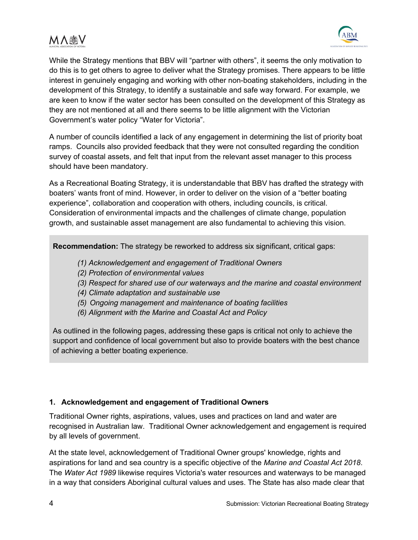While the Strategy mentions that BBV will "partner with others", it seems the only motivation to do this is to get others to agree to deliver what the Strategy promises. There appears to be little interest in genuinely engaging and working with other non-boating stakeholders, including in the development of this Strategy, to identify a sustainable and safe way forward. For example, we are keen to know if the water sector has been consulted on the development of this Strategy as they are not mentioned at all and there seems to be little alignment with the Victorian Government's water policy "Water for Victoria".

A number of councils identified a lack of any engagement in determining the list of priority boat ramps. Councils also provided feedback that they were not consulted regarding the condition survey of coastal assets, and felt that input from the relevant asset manager to this process should have been mandatory.

As a Recreational Boating Strategy, it is understandable that BBV has drafted the strategy with boaters' wants front of mind. However, in order to deliver on the vision of a "better boating experience", collaboration and cooperation with others, including councils, is critical. Consideration of environmental impacts and the challenges of climate change, population growth, and sustainable asset management are also fundamental to achieving this vision.

**Recommendation:** The strategy be reworked to address six significant, critical gaps:

- *(1) Acknowledgement and engagement of Traditional Owners*
- *(2) Protection of environmental values*
- *(3) Respect for shared use of our waterways and the marine and coastal environment*
- *(4) Climate adaptation and sustainable use*
- *(5) Ongoing management and maintenance of boating facilities*
- *(6) Alignment with the Marine and Coastal Act and Policy*

As outlined in the following pages, addressing these gaps is critical not only to achieve the support and confidence of local government but also to provide boaters with the best chance of achieving a better boating experience.

#### **1. Acknowledgement and engagement of Traditional Owners**

Traditional Owner rights, aspirations, values, uses and practices on land and water are recognised in Australian law. Traditional Owner acknowledgement and engagement is required by all levels of government.

At the state level, acknowledgement of Traditional Owner groups' knowledge, rights and aspirations for land and sea country is a specific objective of the *Marine and Coastal Act 2018*. The *Water Act 1989* likewise requires Victoria's water resources and waterways to be managed in a way that considers Aboriginal cultural values and uses. The State has also made clear that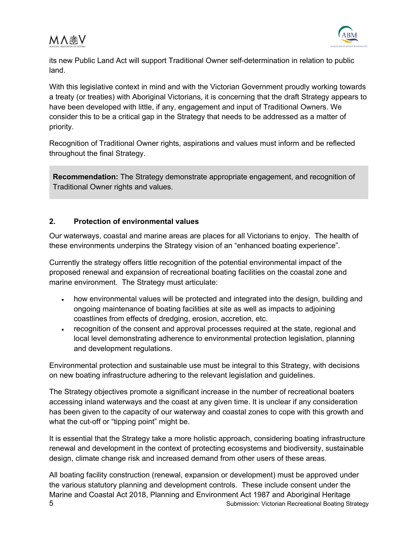



its new Public Land Act will support Traditional Owner self-determination in relation to public land.

With this legislative context in mind and with the Victorian Government proudly working towards a treaty (or treaties) with Aboriginal Victorians, it is concerning that the draft Strategy appears to have been developed with little, if any, engagement and input of Traditional Owners. We consider this to be a critical gap in the Strategy that needs to be addressed as a matter of priority.

Recognition of Traditional Owner rights, aspirations and values must inform and be reflected throughout the final Strategy.

**Recommendation:** The Strategy demonstrate appropriate engagement, and recognition of Traditional Owner rights and values.

#### **2. Protection of environmental values**

Our waterways, coastal and marine areas are places for all Victorians to enjoy. The health of these environments underpins the Strategy vision of an "enhanced boating experience".

Currently the strategy offers little recognition of the potential environmental impact of the proposed renewal and expansion of recreational boating facilities on the coastal zone and marine environment. The Strategy must articulate:

- how environmental values will be protected and integrated into the design, building and ongoing maintenance of boating facilities at site as well as impacts to adjoining coastlines from effects of dredging, erosion, accretion, etc.
- recognition of the consent and approval processes required at the state, regional and local level demonstrating adherence to environmental protection legislation, planning and development regulations.

Environmental protection and sustainable use must be integral to this Strategy, with decisions on new boating infrastructure adhering to the relevant legislation and guidelines.

The Strategy objectives promote a significant increase in the number of recreational boaters accessing inland waterways and the coast at any given time. It is unclear if any consideration has been given to the capacity of our waterway and coastal zones to cope with this growth and what the cut-off or "tipping point" might be.

It is essential that the Strategy take a more holistic approach, considering boating infrastructure renewal and development in the context of protecting ecosystems and biodiversity, sustainable design, climate change risk and increased demand from other users of these areas.

5 Submission: Victorian Recreational Boating Strategy All boating facility construction (renewal, expansion or development) must be approved under the various statutory planning and development controls. These include consent under the Marine and Coastal Act 2018, Planning and Environment Act 1987 and Aboriginal Heritage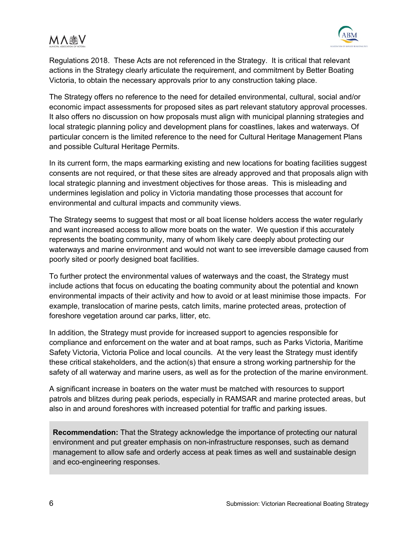

Regulations 2018. These Acts are not referenced in the Strategy. It is critical that relevant actions in the Strategy clearly articulate the requirement, and commitment by Better Boating Victoria, to obtain the necessary approvals prior to any construction taking place.

The Strategy offers no reference to the need for detailed environmental, cultural, social and/or economic impact assessments for proposed sites as part relevant statutory approval processes. It also offers no discussion on how proposals must align with municipal planning strategies and local strategic planning policy and development plans for coastlines, lakes and waterways. Of particular concern is the limited reference to the need for Cultural Heritage Management Plans and possible Cultural Heritage Permits.

In its current form, the maps earmarking existing and new locations for boating facilities suggest consents are not required, or that these sites are already approved and that proposals align with local strategic planning and investment objectives for those areas. This is misleading and undermines legislation and policy in Victoria mandating those processes that account for environmental and cultural impacts and community views.

The Strategy seems to suggest that most or all boat license holders access the water regularly and want increased access to allow more boats on the water. We question if this accurately represents the boating community, many of whom likely care deeply about protecting our waterways and marine environment and would not want to see irreversible damage caused from poorly sited or poorly designed boat facilities.

To further protect the environmental values of waterways and the coast, the Strategy must include actions that focus on educating the boating community about the potential and known environmental impacts of their activity and how to avoid or at least minimise those impacts. For example, translocation of marine pests, catch limits, marine protected areas, protection of foreshore vegetation around car parks, litter, etc.

In addition, the Strategy must provide for increased support to agencies responsible for compliance and enforcement on the water and at boat ramps, such as Parks Victoria, Maritime Safety Victoria, Victoria Police and local councils. At the very least the Strategy must identify these critical stakeholders, and the action(s) that ensure a strong working partnership for the safety of all waterway and marine users, as well as for the protection of the marine environment.

A significant increase in boaters on the water must be matched with resources to support patrols and blitzes during peak periods, especially in RAMSAR and marine protected areas, but also in and around foreshores with increased potential for traffic and parking issues.

**Recommendation:** That the Strategy acknowledge the importance of protecting our natural environment and put greater emphasis on non-infrastructure responses, such as demand management to allow safe and orderly access at peak times as well and sustainable design and eco-engineering responses.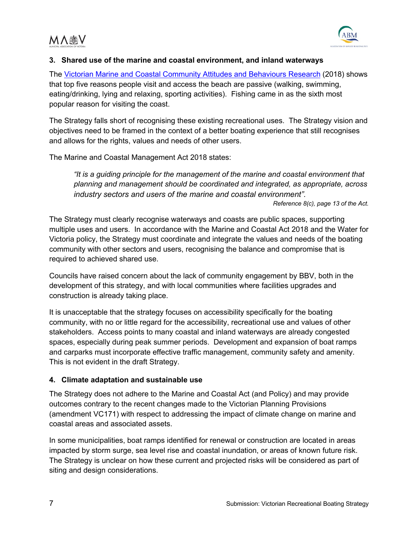

#### **3. Shared use of the marine and coastal environment, and inland waterways**

The Victorian Marine and Coastal Community Attitudes and Behaviours Research (2018) shows that top five reasons people visit and access the beach are passive (walking, swimming, eating/drinking, lying and relaxing, sporting activities). Fishing came in as the sixth most popular reason for visiting the coast.

The Strategy falls short of recognising these existing recreational uses. The Strategy vision and objectives need to be framed in the context of a better boating experience that still recognises and allows for the rights, values and needs of other users.

The Marine and Coastal Management Act 2018 states:

*"It is a guiding principle for the management of the marine and coastal environment that planning and management should be coordinated and integrated, as appropriate, across industry sectors and users of the marine and coastal environment".* 

*Reference 8(c), page 13 of the Act.*

The Strategy must clearly recognise waterways and coasts are public spaces, supporting multiple uses and users. In accordance with the Marine and Coastal Act 2018 and the Water for Victoria policy, the Strategy must coordinate and integrate the values and needs of the boating community with other sectors and users, recognising the balance and compromise that is required to achieved shared use.

Councils have raised concern about the lack of community engagement by BBV, both in the development of this strategy, and with local communities where facilities upgrades and construction is already taking place.

It is unacceptable that the strategy focuses on accessibility specifically for the boating community, with no or little regard for the accessibility, recreational use and values of other stakeholders. Access points to many coastal and inland waterways are already congested spaces, especially during peak summer periods. Development and expansion of boat ramps and carparks must incorporate effective traffic management, community safety and amenity. This is not evident in the draft Strategy.

#### **4. Climate adaptation and sustainable use**

The Strategy does not adhere to the Marine and Coastal Act (and Policy) and may provide outcomes contrary to the recent changes made to the Victorian Planning Provisions (amendment VC171) with respect to addressing the impact of climate change on marine and coastal areas and associated assets.

In some municipalities, boat ramps identified for renewal or construction are located in areas impacted by storm surge, sea level rise and coastal inundation, or areas of known future risk. The Strategy is unclear on how these current and projected risks will be considered as part of siting and design considerations.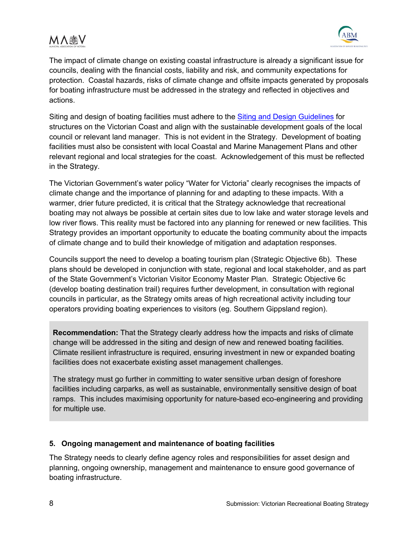

The impact of climate change on existing coastal infrastructure is already a significant issue for councils, dealing with the financial costs, liability and risk, and community expectations for protection. Coastal hazards, risks of climate change and offsite impacts generated by proposals for boating infrastructure must be addressed in the strategy and reflected in objectives and actions.

Siting and design of boating facilities must adhere to the Siting and Design Guidelines for structures on the Victorian Coast and align with the sustainable development goals of the local council or relevant land manager. This is not evident in the Strategy. Development of boating facilities must also be consistent with local Coastal and Marine Management Plans and other relevant regional and local strategies for the coast. Acknowledgement of this must be reflected in the Strategy.

The Victorian Government's water policy "Water for Victoria" clearly recognises the impacts of climate change and the importance of planning for and adapting to these impacts. With a warmer, drier future predicted, it is critical that the Strategy acknowledge that recreational boating may not always be possible at certain sites due to low lake and water storage levels and low river flows. This reality must be factored into any planning for renewed or new facilities. This Strategy provides an important opportunity to educate the boating community about the impacts of climate change and to build their knowledge of mitigation and adaptation responses.

Councils support the need to develop a boating tourism plan (Strategic Objective 6b). These plans should be developed in conjunction with state, regional and local stakeholder, and as part of the State Government's Victorian Visitor Economy Master Plan. Strategic Objective 6c (develop boating destination trail) requires further development, in consultation with regional councils in particular, as the Strategy omits areas of high recreational activity including tour operators providing boating experiences to visitors (eg. Southern Gippsland region).

**Recommendation:** That the Strategy clearly address how the impacts and risks of climate change will be addressed in the siting and design of new and renewed boating facilities. Climate resilient infrastructure is required, ensuring investment in new or expanded boating facilities does not exacerbate existing asset management challenges.

The strategy must go further in committing to water sensitive urban design of foreshore facilities including carparks, as well as sustainable, environmentally sensitive design of boat ramps. This includes maximising opportunity for nature-based eco-engineering and providing for multiple use.

#### **5. Ongoing management and maintenance of boating facilities**

The Strategy needs to clearly define agency roles and responsibilities for asset design and planning, ongoing ownership, management and maintenance to ensure good governance of boating infrastructure.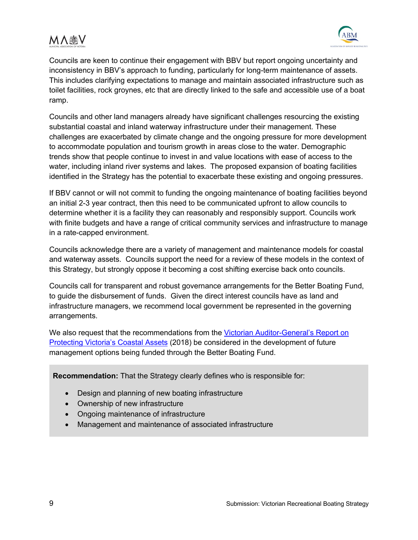

Councils are keen to continue their engagement with BBV but report ongoing uncertainty and inconsistency in BBV's approach to funding, particularly for long-term maintenance of assets. This includes clarifying expectations to manage and maintain associated infrastructure such as toilet facilities, rock groynes, etc that are directly linked to the safe and accessible use of a boat ramp.

Councils and other land managers already have significant challenges resourcing the existing substantial coastal and inland waterway infrastructure under their management. These challenges are exacerbated by climate change and the ongoing pressure for more development to accommodate population and tourism growth in areas close to the water. Demographic trends show that people continue to invest in and value locations with ease of access to the water, including inland river systems and lakes. The proposed expansion of boating facilities identified in the Strategy has the potential to exacerbate these existing and ongoing pressures.

If BBV cannot or will not commit to funding the ongoing maintenance of boating facilities beyond an initial 2-3 year contract, then this need to be communicated upfront to allow councils to determine whether it is a facility they can reasonably and responsibly support. Councils work with finite budgets and have a range of critical community services and infrastructure to manage in a rate-capped environment.

Councils acknowledge there are a variety of management and maintenance models for coastal and waterway assets. Councils support the need for a review of these models in the context of this Strategy, but strongly oppose it becoming a cost shifting exercise back onto councils.

Councils call for transparent and robust governance arrangements for the Better Boating Fund, to guide the disbursement of funds. Given the direct interest councils have as land and infrastructure managers, we recommend local government be represented in the governing arrangements.

We also request that the recommendations from the Victorian Auditor-General's Report on Protecting Victoria's Coastal Assets (2018) be considered in the development of future management options being funded through the Better Boating Fund.

**Recommendation:** That the Strategy clearly defines who is responsible for:

- Design and planning of new boating infrastructure
- Ownership of new infrastructure
- Ongoing maintenance of infrastructure
- Management and maintenance of associated infrastructure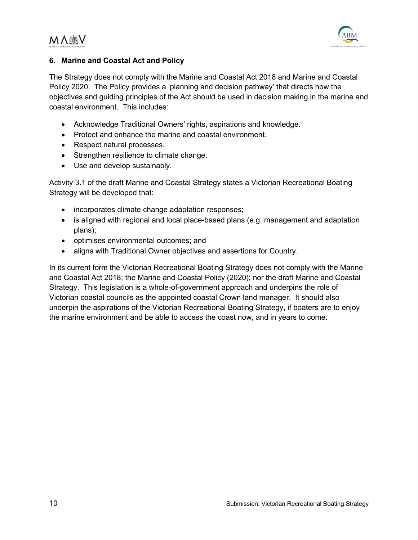

#### **6. Marine and Coastal Act and Policy**

The Strategy does not comply with the Marine and Coastal Act 2018 and Marine and Coastal Policy 2020. The Policy provides a 'planning and decision pathway' that directs how the objectives and guiding principles of the Act should be used in decision making in the marine and coastal environment. This includes:

- Acknowledge Traditional Owners' rights, aspirations and knowledge.
- Protect and enhance the marine and coastal environment.
- Respect natural processes.
- Strengthen resilience to climate change.
- Use and develop sustainably.

Activity 3.1 of the draft Marine and Coastal Strategy states a Victorian Recreational Boating Strategy will be developed that:

- incorporates climate change adaptation responses;
- is aligned with regional and local place-based plans (e.g. management and adaptation plans);
- optimises environmental outcomes; and
- aligns with Traditional Owner objectives and assertions for Country.

In its current form the Victorian Recreational Boating Strategy does not comply with the Marine and Coastal Act 2018; the Marine and Coastal Policy (2020); nor the draft Marine and Coastal Strategy. This legislation is a whole-of-government approach and underpins the role of Victorian coastal councils as the appointed coastal Crown land manager. It should also underpin the aspirations of the Victorian Recreational Boating Strategy, if boaters are to enjoy the marine environment and be able to access the coast now, and in years to come.